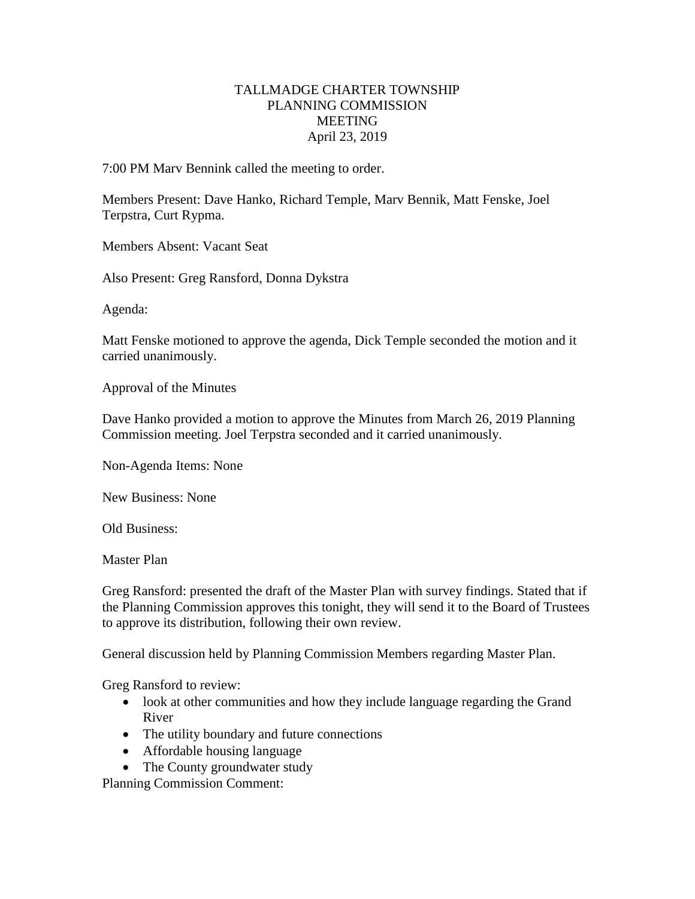## TALLMADGE CHARTER TOWNSHIP PLANNING COMMISSION MEETING April 23, 2019

7:00 PM Marv Bennink called the meeting to order.

Members Present: Dave Hanko, Richard Temple, Marv Bennik, Matt Fenske, Joel Terpstra, Curt Rypma.

Members Absent: Vacant Seat

Also Present: Greg Ransford, Donna Dykstra

Agenda:

Matt Fenske motioned to approve the agenda, Dick Temple seconded the motion and it carried unanimously.

Approval of the Minutes

Dave Hanko provided a motion to approve the Minutes from March 26, 2019 Planning Commission meeting. Joel Terpstra seconded and it carried unanimously.

Non-Agenda Items: None

New Business: None

Old Business:

Master Plan

Greg Ransford: presented the draft of the Master Plan with survey findings. Stated that if the Planning Commission approves this tonight, they will send it to the Board of Trustees to approve its distribution, following their own review.

General discussion held by Planning Commission Members regarding Master Plan.

Greg Ransford to review:

- look at other communities and how they include language regarding the Grand River
- The utility boundary and future connections
- Affordable housing language
- The County groundwater study

Planning Commission Comment: